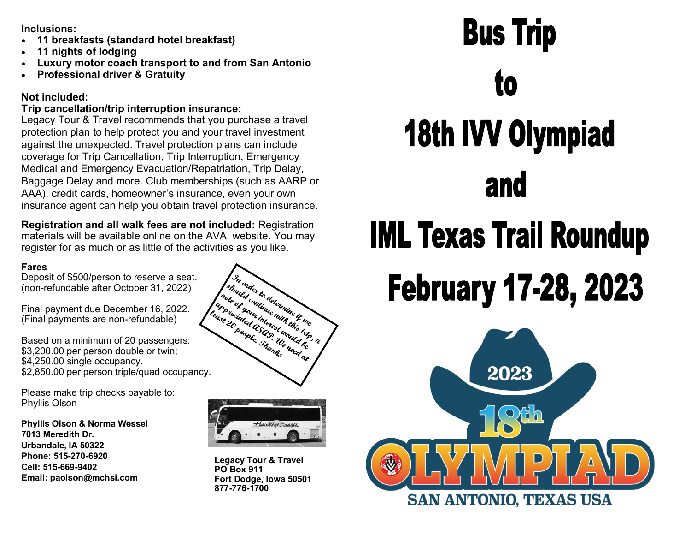**Inclusions:**

- **11 breakfasts (standard hotel breakfast)**
- **11 nights of lodging**
- **Luxury motor coach transport to and from San Antonio**
- **Professional driver & Gratuity**

## **Not included:**

## **Trip cancellation/trip interruption insurance:**

Legacy Tour & Travel recommends that you purchase a travel protection plan to help protect you and your travel investment against the unexpected. Travel protection plans can include coverage for Trip Cancellation, Trip Interruption, Emergency Medical and Emergency Evacuation/Repatriation, Trip Delay, Baggage Delay and more. Club memberships (such as AARP or AAA), credit cards, homeowner's insurance, even your own insurance agent can help you obtain travel protection insurance.

**Registration and all walk fees are not included:** Registration materials will be available online on the AVA website. You may register for as much or as little of the activities as you like.

## **Fares**

Deposit of \$500/person to reserve a seat. (non-refundable after October 31, 2022)

Final payment due December 16, 2022. (Final payments are non-refundable)

Based on a minimum of 20 passengers: \$3,200.00 per person double or twin; \$4,250.00 single occupancy.

Please make trip checks payable to: Phyllis Olson

**Phyllis Olson & Norma Wessel 7013 Meredith Dr. Urbandale, IA 50322 Phone: 515-270-6920 Cell: 515-669-9402 Email: paolson@mchsi.com**





**Legacy Tour & Travel PO Box 911 Fort Dodge, Iowa 50501 877-776-1700**